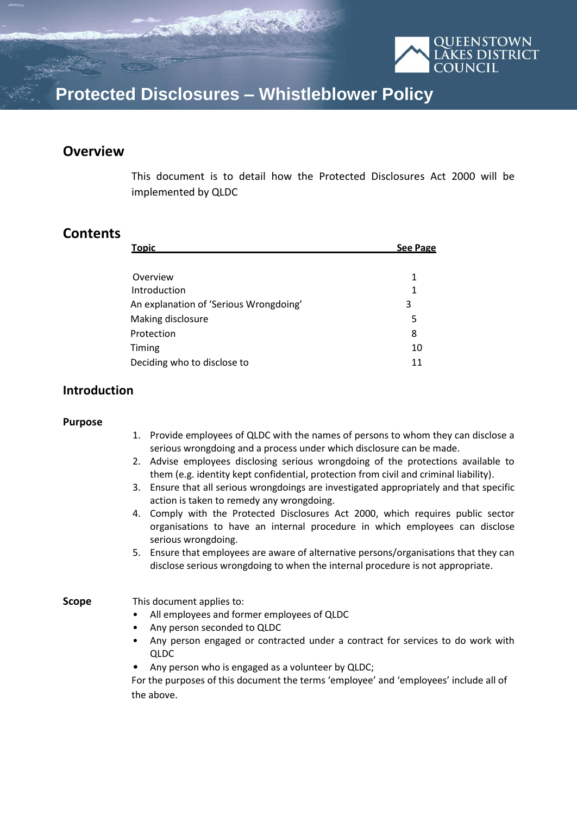

# **Protected Disclosures – Whistleblower Policy**

### **Overview**

This document is to detail how the Protected Disclosures Act 2000 will be implemented by QLDC

### **Contents**

| <b>Topic</b>                           | <b>See Page</b> |
|----------------------------------------|-----------------|
|                                        |                 |
| Overview                               | 1               |
| Introduction                           | 1               |
| An explanation of 'Serious Wrongdoing' | 3               |
| Making disclosure                      | 5               |
| Protection                             | 8               |
| Timing                                 | 10              |
| Deciding who to disclose to            | 11              |

### **Introduction**

#### **Purpose**

- 1. Provide employees of QLDC with the names of persons to whom they can disclose a serious wrongdoing and a process under which disclosure can be made.
- 2. Advise employees disclosing serious wrongdoing of the protections available to them (e.g. identity kept confidential, protection from civil and criminal liability).
- 3. Ensure that all serious wrongdoings are investigated appropriately and that specific action is taken to remedy any wrongdoing.
- 4. Comply with the Protected Disclosures Act 2000, which requires public sector organisations to have an internal procedure in which employees can disclose serious wrongdoing.
- 5. Ensure that employees are aware of alternative persons/organisations that they can disclose serious wrongdoing to when the internal procedure is not appropriate.

#### **Scope** This document applies to:

- All employees and former employees of QLDC
- Any person seconded to QLDC
- Any person engaged or contracted under a contract for services to do work with QLDC
- Any person who is engaged as a volunteer by QLDC;

For the purposes of this document the terms 'employee' and 'employees' include all of the above.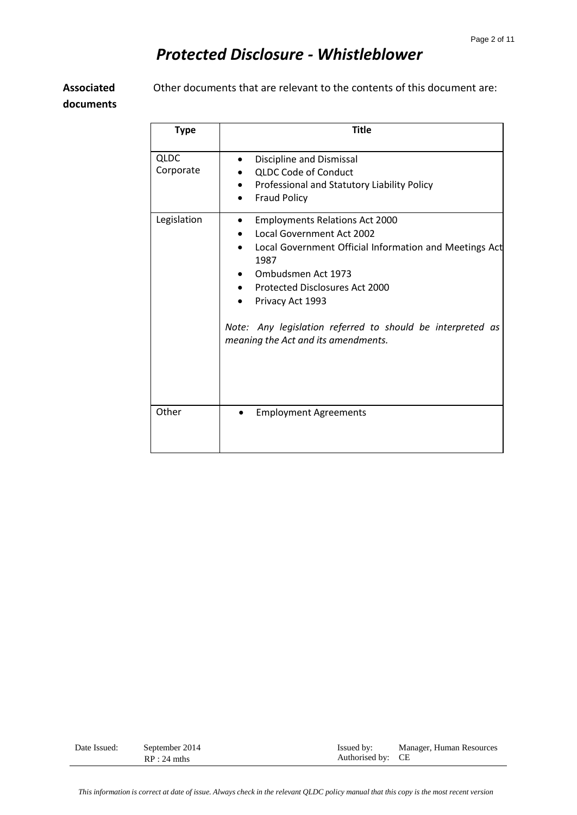**Associated** 

Other documents that are relevant to the contents of this document are:

**documents**

| <b>Type</b>       | <b>Title</b>                                                                                                                                                                                                                                                                                                                 |
|-------------------|------------------------------------------------------------------------------------------------------------------------------------------------------------------------------------------------------------------------------------------------------------------------------------------------------------------------------|
| QLDC<br>Corporate | Discipline and Dismissal<br><b>QLDC Code of Conduct</b><br>Professional and Statutory Liability Policy<br><b>Fraud Policy</b>                                                                                                                                                                                                |
| Legislation       | <b>Employments Relations Act 2000</b><br><b>Local Government Act 2002</b><br>Local Government Official Information and Meetings Act<br>1987<br>Ombudsmen Act 1973<br>Protected Disclosures Act 2000<br>Privacy Act 1993<br>Note: Any legislation referred to should be interpreted as<br>meaning the Act and its amendments. |
| Other             | <b>Employment Agreements</b>                                                                                                                                                                                                                                                                                                 |

| Date Issued: | September 2014<br>$RP:24$ mths | Issued by:<br>Authorised by: CE | Manager, Human Resources |
|--------------|--------------------------------|---------------------------------|--------------------------|
|              |                                |                                 |                          |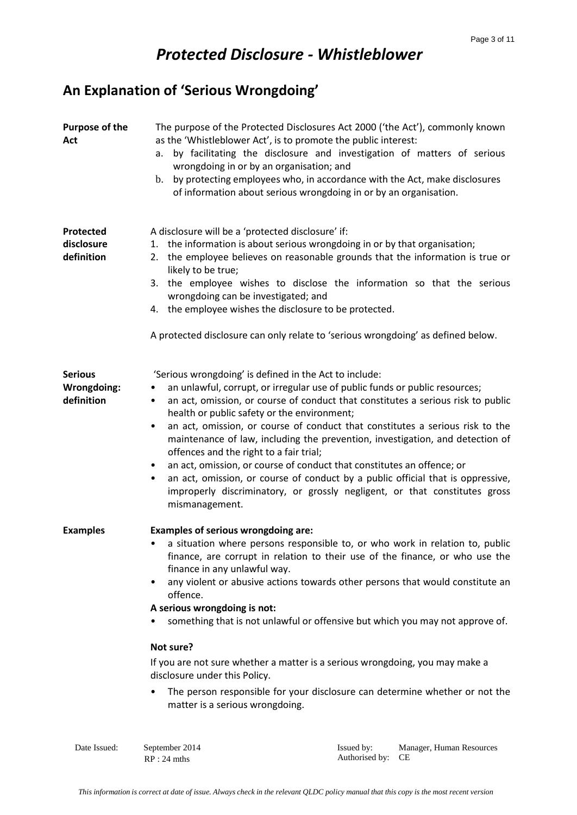# **An Explanation of 'Serious Wrongdoing'**

| Purpose of the<br>Act                       | The purpose of the Protected Disclosures Act 2000 ('the Act'), commonly known<br>as the 'Whistleblower Act', is to promote the public interest:<br>by facilitating the disclosure and investigation of matters of serious<br>a.<br>wrongdoing in or by an organisation; and<br>by protecting employees who, in accordance with the Act, make disclosures<br>$\mathbf{b}$ .<br>of information about serious wrongdoing in or by an organisation.                                                                                                                                                                                                                                                                                                                                                             |
|---------------------------------------------|-------------------------------------------------------------------------------------------------------------------------------------------------------------------------------------------------------------------------------------------------------------------------------------------------------------------------------------------------------------------------------------------------------------------------------------------------------------------------------------------------------------------------------------------------------------------------------------------------------------------------------------------------------------------------------------------------------------------------------------------------------------------------------------------------------------|
| Protected<br>disclosure<br>definition       | A disclosure will be a 'protected disclosure' if:<br>1. the information is about serious wrongdoing in or by that organisation;<br>2. the employee believes on reasonable grounds that the information is true or<br>likely to be true;<br>3. the employee wishes to disclose the information so that the serious<br>wrongdoing can be investigated; and<br>4. the employee wishes the disclosure to be protected.<br>A protected disclosure can only relate to 'serious wrongdoing' as defined below.                                                                                                                                                                                                                                                                                                      |
| <b>Serious</b><br>Wrongdoing:<br>definition | 'Serious wrongdoing' is defined in the Act to include:<br>an unlawful, corrupt, or irregular use of public funds or public resources;<br>$\bullet$<br>an act, omission, or course of conduct that constitutes a serious risk to public<br>$\bullet$<br>health or public safety or the environment;<br>an act, omission, or course of conduct that constitutes a serious risk to the<br>٠<br>maintenance of law, including the prevention, investigation, and detection of<br>offences and the right to a fair trial;<br>an act, omission, or course of conduct that constitutes an offence; or<br>$\bullet$<br>an act, omission, or course of conduct by a public official that is oppressive,<br>$\bullet$<br>improperly discriminatory, or grossly negligent, or that constitutes gross<br>mismanagement. |
| <b>Examples</b>                             | <b>Examples of serious wrongdoing are:</b><br>a situation where persons responsible to, or who work in relation to, public<br>finance, are corrupt in relation to their use of the finance, or who use the<br>finance in any unlawful way.<br>any violent or abusive actions towards other persons that would constitute an<br>٠<br>offence.<br>A serious wrongdoing is not:<br>something that is not unlawful or offensive but which you may not approve of.<br>Not sure?<br>If you are not sure whether a matter is a serious wrongdoing, you may make a<br>disclosure under this Policy.<br>The person responsible for your disclosure can determine whether or not the<br>matter is a serious wrongdoing.                                                                                               |

Date Issued: September 2014 Issued by: RP : 24 mths Authorised by: CE Manager, Human Resources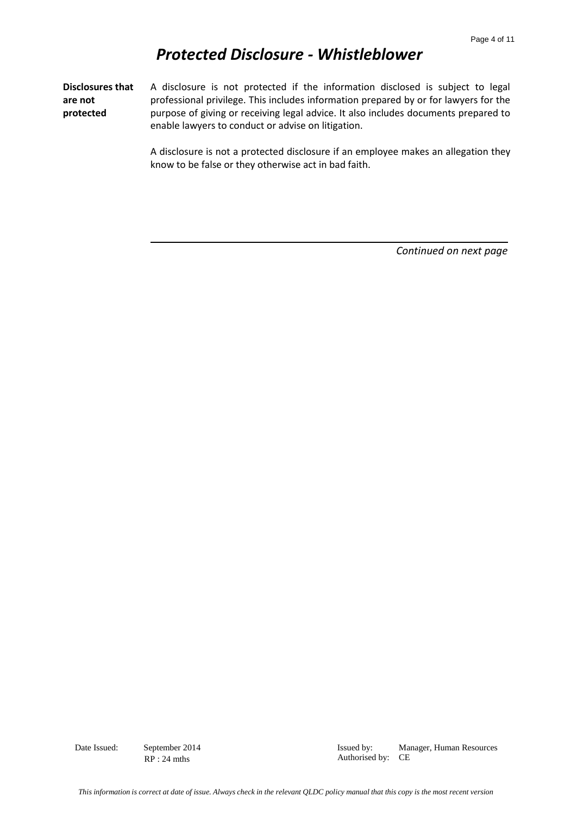**Disclosures that are not protected**  A disclosure is not protected if the information disclosed is subject to legal professional privilege. This includes information prepared by or for lawyers for the purpose of giving or receiving legal advice. It also includes documents prepared to enable lawyers to conduct or advise on litigation.

> A disclosure is not a protected disclosure if an employee makes an allegation they know to be false or they otherwise act in bad faith.

> > *Continued on next page*

Date Issued: September 2014 Issued by: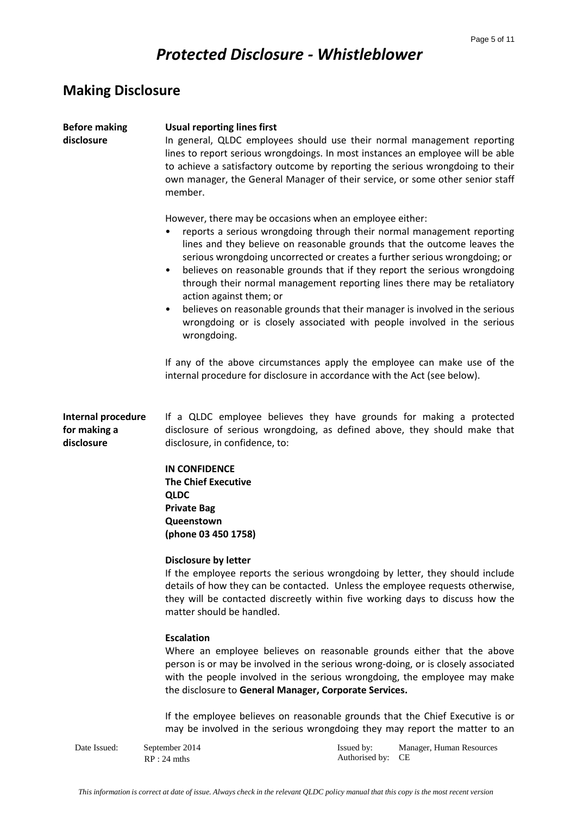# **Making Disclosure**

| <b>Before making</b><br>disclosure               | <b>Usual reporting lines first</b><br>In general, QLDC employees should use their normal management reporting<br>lines to report serious wrongdoings. In most instances an employee will be able<br>to achieve a satisfactory outcome by reporting the serious wrongdoing to their<br>own manager, the General Manager of their service, or some other senior staff<br>member.                                                                                                                                                                                                                                                                                               |
|--------------------------------------------------|------------------------------------------------------------------------------------------------------------------------------------------------------------------------------------------------------------------------------------------------------------------------------------------------------------------------------------------------------------------------------------------------------------------------------------------------------------------------------------------------------------------------------------------------------------------------------------------------------------------------------------------------------------------------------|
|                                                  | However, there may be occasions when an employee either:<br>reports a serious wrongdoing through their normal management reporting<br>lines and they believe on reasonable grounds that the outcome leaves the<br>serious wrongdoing uncorrected or creates a further serious wrongdoing; or<br>believes on reasonable grounds that if they report the serious wrongdoing<br>$\bullet$<br>through their normal management reporting lines there may be retaliatory<br>action against them; or<br>believes on reasonable grounds that their manager is involved in the serious<br>٠<br>wrongdoing or is closely associated with people involved in the serious<br>wrongdoing. |
|                                                  | If any of the above circumstances apply the employee can make use of the<br>internal procedure for disclosure in accordance with the Act (see below).                                                                                                                                                                                                                                                                                                                                                                                                                                                                                                                        |
| Internal procedure<br>for making a<br>disclosure | If a QLDC employee believes they have grounds for making a protected<br>disclosure of serious wrongdoing, as defined above, they should make that<br>disclosure, in confidence, to:                                                                                                                                                                                                                                                                                                                                                                                                                                                                                          |
|                                                  | <b>IN CONFIDENCE</b><br><b>The Chief Executive</b><br><b>QLDC</b><br><b>Private Bag</b><br>Queenstown<br>(phone 03 450 1758)                                                                                                                                                                                                                                                                                                                                                                                                                                                                                                                                                 |
|                                                  | <b>Disclosure by letter</b><br>If the employee reports the serious wrongdoing by letter, they should include<br>details of how they can be contacted. Unless the employee requests otherwise,<br>they will be contacted discreetly within five working days to discuss how the<br>matter should be handled.                                                                                                                                                                                                                                                                                                                                                                  |
|                                                  | <b>Escalation</b><br>Where an employee believes on reasonable grounds either that the above<br>person is or may be involved in the serious wrong-doing, or is closely associated<br>with the people involved in the serious wrongdoing, the employee may make<br>the disclosure to General Manager, Corporate Services.                                                                                                                                                                                                                                                                                                                                                      |
|                                                  | If the employee believes on reasonable grounds that the Chief Executive is or<br>may be involved in the serious wrongdoing they may report the matter to an                                                                                                                                                                                                                                                                                                                                                                                                                                                                                                                  |
| Date Issued:                                     | Manager, Human Resources<br>September 2014<br>Issued by:                                                                                                                                                                                                                                                                                                                                                                                                                                                                                                                                                                                                                     |

RP : 24 mths Authorised by: CE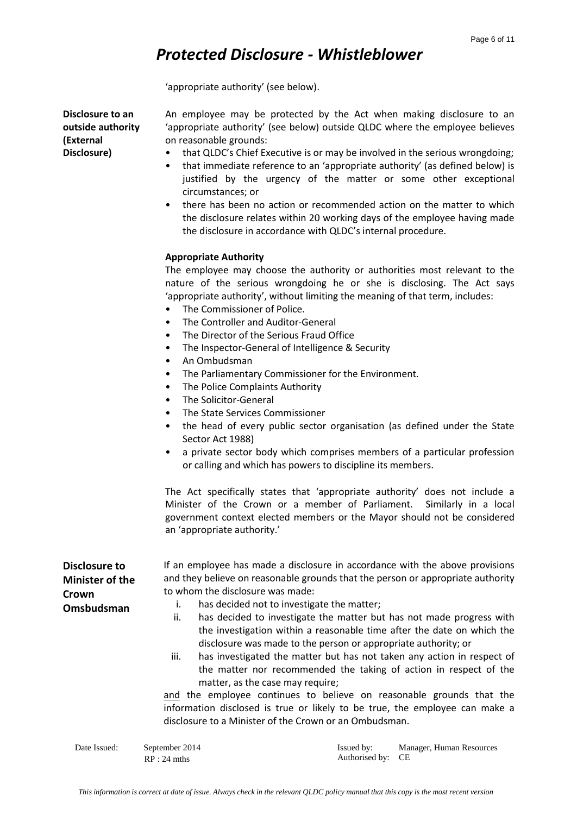'appropriate authority' (see below).

**Disclosure to an outside authority (External Disclosure)**

An employee may be protected by the Act when making disclosure to an 'appropriate authority' (see below) outside QLDC where the employee believes on reasonable grounds:

- that QLDC's Chief Executive is or may be involved in the serious wrongdoing;
- that immediate reference to an 'appropriate authority' (as defined below) is justified by the urgency of the matter or some other exceptional circumstances; or
- there has been no action or recommended action on the matter to which the disclosure relates within 20 working days of the employee having made the disclosure in accordance with QLDC's internal procedure.

#### **Appropriate Authority**

The employee may choose the authority or authorities most relevant to the nature of the serious wrongdoing he or she is disclosing. The Act says 'appropriate authority', without limiting the meaning of that term, includes:

- The Commissioner of Police.
- The Controller and Auditor-General
- The Director of the Serious Fraud Office
- The Inspector-General of Intelligence & Security
- An Ombudsman
- The Parliamentary Commissioner for the Environment.
- The Police Complaints Authority
- The Solicitor-General
- The State Services Commissioner
- the head of every public sector organisation (as defined under the State Sector Act 1988)
- a private sector body which comprises members of a particular profession or calling and which has powers to discipline its members.

The Act specifically states that 'appropriate authority' does not include a Minister of the Crown or a member of Parliament. Similarly in a local government context elected members or the Mayor should not be considered an 'appropriate authority.'

| Disclosure to<br><b>Minister of the</b><br>Crown<br>Omsbudsman | to whom the disclosure was made:<br>ii.<br>iii. | If an employee has made a disclosure in accordance with the above provisions<br>and they believe on reasonable grounds that the person or appropriate authority<br>has decided not to investigate the matter;<br>has decided to investigate the matter but has not made progress with<br>the investigation within a reasonable time after the date on which the<br>disclosure was made to the person or appropriate authority; or<br>has investigated the matter but has not taken any action in respect of<br>the matter nor recommended the taking of action in respect of the |                          |  |
|----------------------------------------------------------------|-------------------------------------------------|----------------------------------------------------------------------------------------------------------------------------------------------------------------------------------------------------------------------------------------------------------------------------------------------------------------------------------------------------------------------------------------------------------------------------------------------------------------------------------------------------------------------------------------------------------------------------------|--------------------------|--|
|                                                                |                                                 | matter, as the case may require;<br>and the employee continues to believe on reasonable grounds that the<br>information disclosed is true or likely to be true, the employee can make a<br>disclosure to a Minister of the Crown or an Ombudsman.                                                                                                                                                                                                                                                                                                                                |                          |  |
| Date Issued:                                                   | September 2014                                  | Issued by:                                                                                                                                                                                                                                                                                                                                                                                                                                                                                                                                                                       | Manager, Human Resources |  |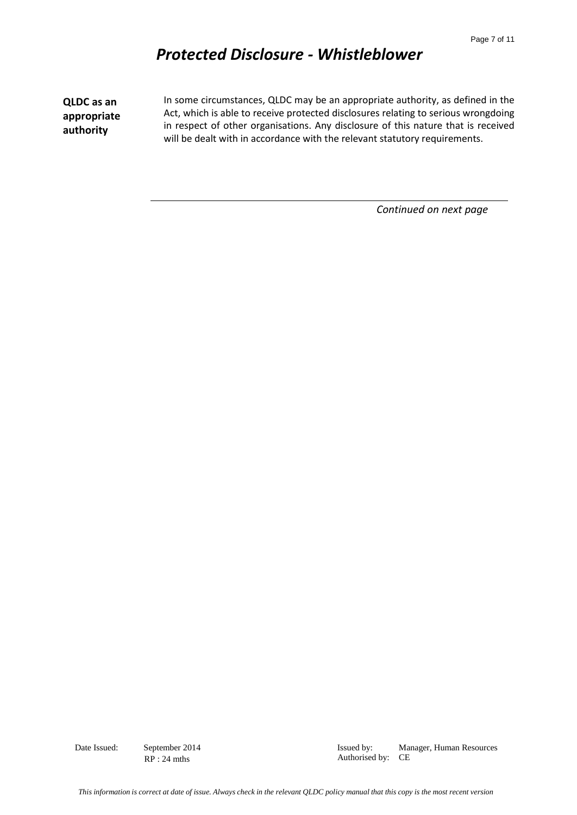**QLDC as an appropriate authority**

In some circumstances, QLDC may be an appropriate authority, as defined in the Act, which is able to receive protected disclosures relating to serious wrongdoing in respect of other organisations. Any disclosure of this nature that is received will be dealt with in accordance with the relevant statutory requirements.

*Continued on next page*

Date Issued: September 2014 Issued by: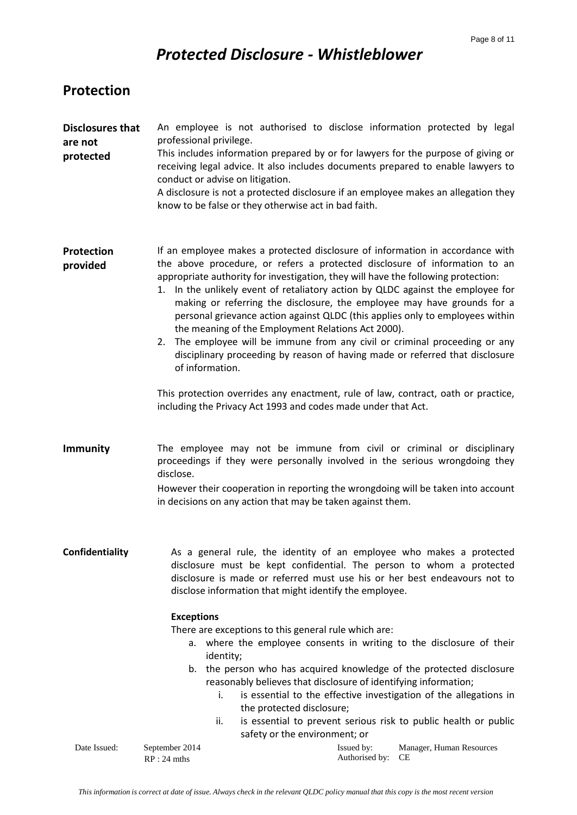### **Protection**

| <b>Disclosures that</b><br>are not<br>protected | An employee is not authorised to disclose information protected by legal<br>professional privilege.<br>This includes information prepared by or for lawyers for the purpose of giving or<br>receiving legal advice. It also includes documents prepared to enable lawyers to<br>conduct or advise on litigation.<br>A disclosure is not a protected disclosure if an employee makes an allegation they<br>know to be false or they otherwise act in bad faith.                                                                                                                                                                                                                                                                                                                                                                                                                                   |
|-------------------------------------------------|--------------------------------------------------------------------------------------------------------------------------------------------------------------------------------------------------------------------------------------------------------------------------------------------------------------------------------------------------------------------------------------------------------------------------------------------------------------------------------------------------------------------------------------------------------------------------------------------------------------------------------------------------------------------------------------------------------------------------------------------------------------------------------------------------------------------------------------------------------------------------------------------------|
| Protection<br>provided                          | If an employee makes a protected disclosure of information in accordance with<br>the above procedure, or refers a protected disclosure of information to an<br>appropriate authority for investigation, they will have the following protection:<br>In the unlikely event of retaliatory action by QLDC against the employee for<br>1.<br>making or referring the disclosure, the employee may have grounds for a<br>personal grievance action against QLDC (this applies only to employees within<br>the meaning of the Employment Relations Act 2000).<br>2. The employee will be immune from any civil or criminal proceeding or any<br>disciplinary proceeding by reason of having made or referred that disclosure<br>of information.<br>This protection overrides any enactment, rule of law, contract, oath or practice,<br>including the Privacy Act 1993 and codes made under that Act. |
| <b>Immunity</b>                                 | The employee may not be immune from civil or criminal or disciplinary<br>proceedings if they were personally involved in the serious wrongdoing they<br>disclose.<br>However their cooperation in reporting the wrongdoing will be taken into account<br>in decisions on any action that may be taken against them.                                                                                                                                                                                                                                                                                                                                                                                                                                                                                                                                                                              |
| Confidentiality                                 | As a general rule, the identity of an employee who makes a protected<br>disclosure must be kept confidential. The person to whom a protected<br>disclosure is made or referred must use his or her best endeavours not to<br>disclose information that might identify the employee.<br><b>Exceptions</b><br>There are exceptions to this general rule which are:<br>a. where the employee consents in writing to the disclosure of their<br>identity;<br>the person who has acquired knowledge of the protected disclosure<br>b.<br>reasonably believes that disclosure of identifying information;<br>is essential to the effective investigation of the allegations in<br>i.<br>the protected disclosure;<br>is essential to prevent serious risk to public health or public<br>ii.<br>safety or the environment; or                                                                           |

Date Issued: September 2014 Issued by: RP : 24 mths Authorised by: CE Manager, Human Resources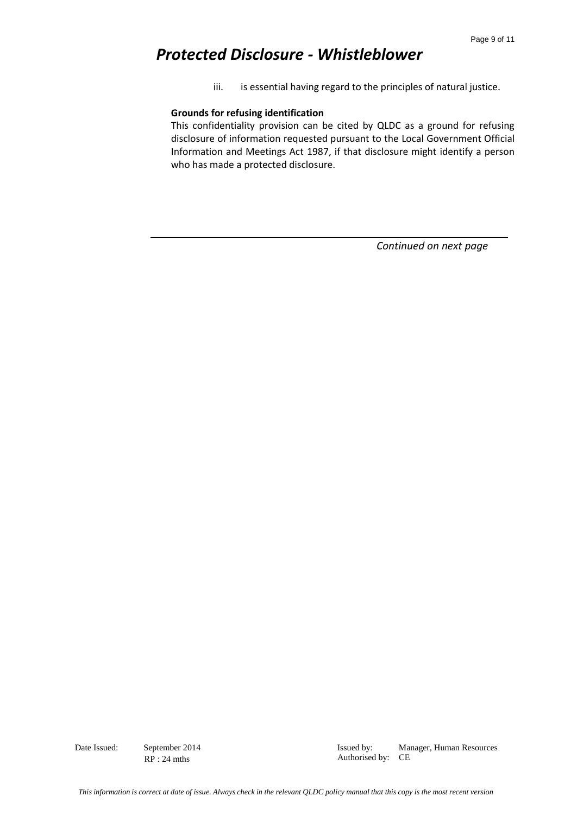iii. is essential having regard to the principles of natural justice.

#### **Grounds for refusing identification**

This confidentiality provision can be cited by QLDC as a ground for refusing disclosure of information requested pursuant to the Local Government Official Information and Meetings Act 1987, if that disclosure might identify a person who has made a protected disclosure.

*Continued on next page*

Date Issued: September 2014 Issued by: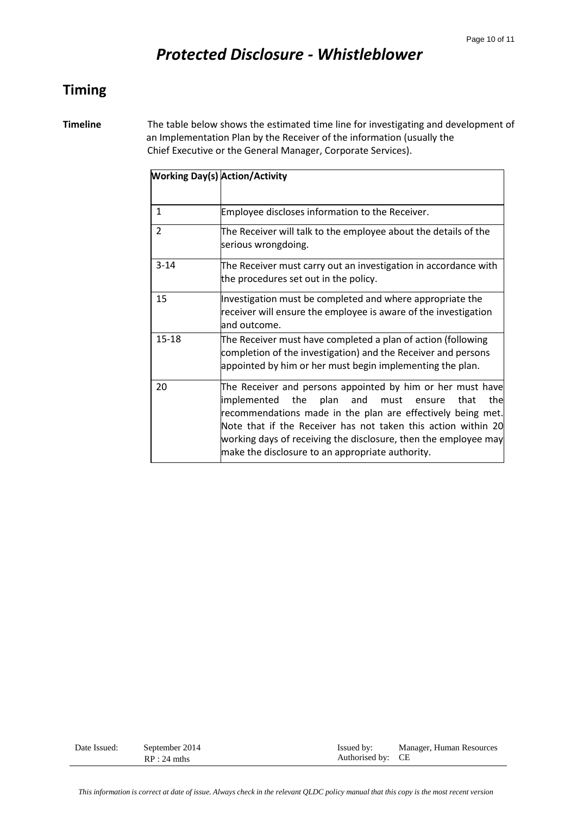### **Timing**

**Timeline** The table below shows the estimated time line for investigating and development of an Implementation Plan by the Receiver of the information (usually the Chief Executive or the General Manager, Corporate Services).

| <b>Working Day(s) Action/Activity</b> |                                                                                                                                                                                                                                                                                                                                                                                         |
|---------------------------------------|-----------------------------------------------------------------------------------------------------------------------------------------------------------------------------------------------------------------------------------------------------------------------------------------------------------------------------------------------------------------------------------------|
|                                       |                                                                                                                                                                                                                                                                                                                                                                                         |
| $\mathbf{1}$                          | Employee discloses information to the Receiver.                                                                                                                                                                                                                                                                                                                                         |
| $\overline{2}$                        | The Receiver will talk to the employee about the details of the<br>serious wrongdoing.                                                                                                                                                                                                                                                                                                  |
| $3 - 14$                              | The Receiver must carry out an investigation in accordance with<br>the procedures set out in the policy.                                                                                                                                                                                                                                                                                |
| 15                                    | Investigation must be completed and where appropriate the<br>receiver will ensure the employee is aware of the investigation<br>and outcome.                                                                                                                                                                                                                                            |
| $15 - 18$                             | The Receiver must have completed a plan of action (following<br>completion of the investigation) and the Receiver and persons<br>appointed by him or her must begin implementing the plan.                                                                                                                                                                                              |
| 20                                    | The Receiver and persons appointed by him or her must have<br>the<br>that<br>the<br>implemented<br>plan<br>and<br>must<br>ensure<br>recommendations made in the plan are effectively being met.<br>Note that if the Receiver has not taken this action within 20<br>working days of receiving the disclosure, then the employee may<br>make the disclosure to an appropriate authority. |

| Date Issued: | September 2014<br>$RP:24$ mths | Issued by:<br>Authorised by: CE | Manager, Human Resources |
|--------------|--------------------------------|---------------------------------|--------------------------|
|--------------|--------------------------------|---------------------------------|--------------------------|